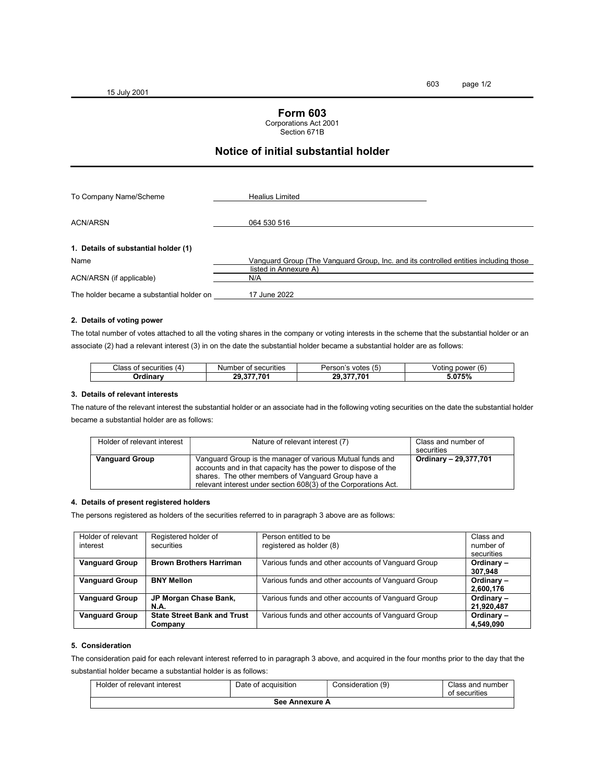15 July 2001

## Form 603

#### Corporations Act 2001

Section 671B

# Notice of initial substantial holder

| To Company Name/Scheme                    | <b>Healius Limited</b>                                                               |
|-------------------------------------------|--------------------------------------------------------------------------------------|
| <b>ACN/ARSN</b>                           | 064 530 516                                                                          |
| 1. Details of substantial holder (1)      |                                                                                      |
| Name                                      | Vanguard Group (The Vanguard Group, Inc. and its controlled entities including those |
| ACN/ARSN (if applicable)                  | listed in Annexure A)<br>N/A                                                         |
| The holder became a substantial holder on | 17 June 2022                                                                         |

#### 2. Details of voting power

The total number of votes attached to all the voting shares in the company or voting interests in the scheme that the substantial holder or an associate (2) had a relevant interest (3) in on the date the substantial holder became a substantial holder are as follows:

| Class<br>securities<br>14<br>$\mathbf{u}$ | .<br>nber<br><sup>.</sup> securities<br>Num<br>$\cdot$ . | $\epsilon$<br>Person'<br>votes<br>$\overline{\phantom{a}}$<br>ີ | $\tilde{\phantom{a}}$<br>power<br>Votina<br>(b) |
|-------------------------------------------|----------------------------------------------------------|-----------------------------------------------------------------|-------------------------------------------------|
| Drdinarv                                  | .70<br>29<br>$\sim$                                      | 277.70<br>29                                                    | 075%<br>ה/י                                     |

#### 3. Details of relevant interests

The nature of the relevant interest the substantial holder or an associate had in the following voting securities on the date the substantial holder became a substantial holder are as follows:

| Holder of relevant interest | Nature of relevant interest (7)                                                                                                                                                                                                                     | Class and number of<br>securities |
|-----------------------------|-----------------------------------------------------------------------------------------------------------------------------------------------------------------------------------------------------------------------------------------------------|-----------------------------------|
| <b>Vanguard Group</b>       | Vanguard Group is the manager of various Mutual funds and<br>accounts and in that capacity has the power to dispose of the<br>shares. The other members of Vanguard Group have a<br>relevant interest under section 608(3) of the Corporations Act. | Ordinary - 29,377,701             |

#### 4. Details of present registered holders

The persons registered as holders of the securities referred to in paragraph 3 above are as follows:

| Holder of relevant<br>interest | Registered holder of<br>securities            | Person entitled to be<br>registered as holder (8)  | Class and<br>number of<br>securities |
|--------------------------------|-----------------------------------------------|----------------------------------------------------|--------------------------------------|
| <b>Vanguard Group</b>          | <b>Brown Brothers Harriman</b>                | Various funds and other accounts of Vanguard Group | Ordinary-<br>307,948                 |
| <b>Vanguard Group</b>          | <b>BNY Mellon</b>                             | Various funds and other accounts of Vanguard Group | Ordinary-<br>2,600,176               |
| <b>Vanguard Group</b>          | JP Morgan Chase Bank,<br>N.A.                 | Various funds and other accounts of Vanguard Group | Ordinary-<br>21,920,487              |
| <b>Vanguard Group</b>          | <b>State Street Bank and Trust</b><br>Company | Various funds and other accounts of Vanguard Group | Ordinary-<br>4,549,090               |

#### 5. Consideration

The consideration paid for each relevant interest referred to in paragraph 3 above, and acquired in the four months prior to the day that the substantial holder became a substantial holder is as follows:

| Holder of relevant interest | Date of acquisition | Consideration (9) | Class and number<br>of securities |  |  |  |  |
|-----------------------------|---------------------|-------------------|-----------------------------------|--|--|--|--|
| See Annexure A              |                     |                   |                                   |  |  |  |  |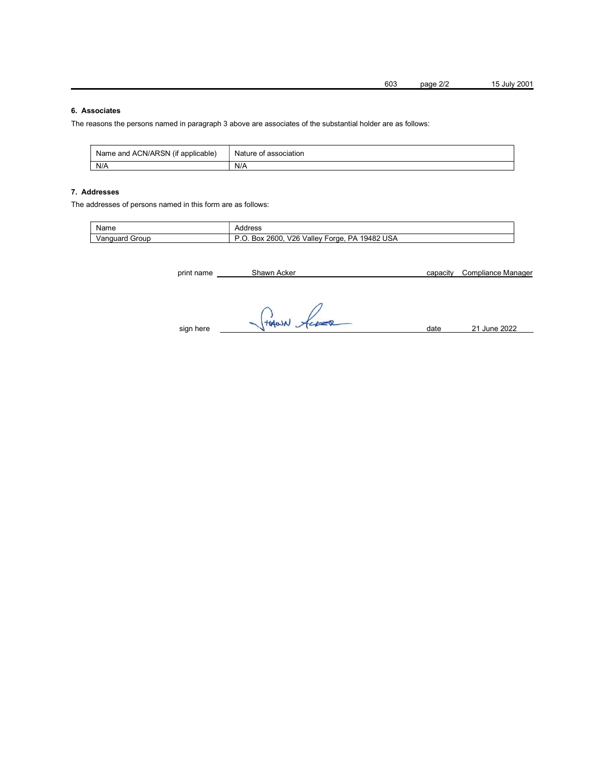603 page 2/2 15 July 2001

## 6. Associates

The reasons the persons named in paragraph 3 above are associates of the substantial holder are as follows:

| Name and ACN/ARSN (if applicable) | Nature of association |
|-----------------------------------|-----------------------|
| N/A                               | N/A                   |

### 7. Addresses

The addresses of persons named in this form are as follows:

| Name              | -----<br>ures:                                                     |
|-------------------|--------------------------------------------------------------------|
| Group<br>/anguard | Vallev<br>19482<br>J2F<br>2600<br>PΔ<br>-orae<br>Box<br>USA<br>. w |

| print name | Shawn Acker | capacity | Compliance Manager |
|------------|-------------|----------|--------------------|
| sign here  | THANN Acces | date     | 21 June 2022       |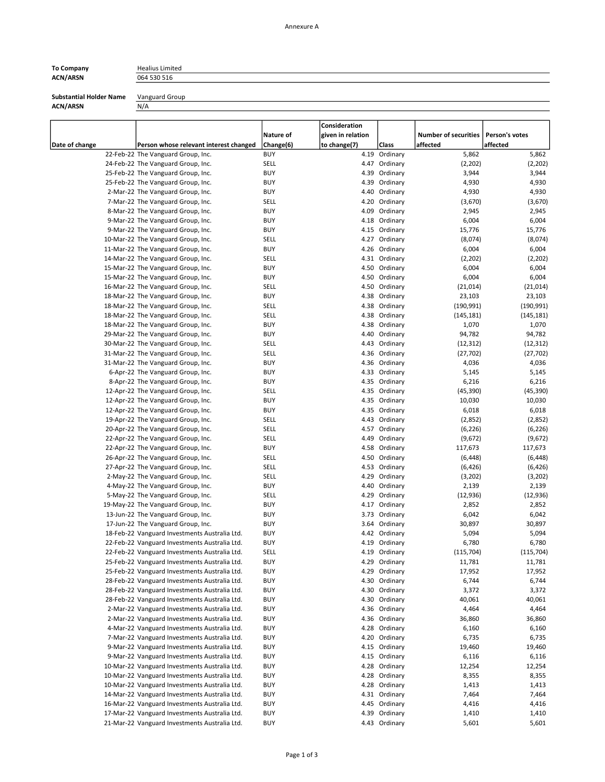# ACN/ARSN 064 530 516

To Company **Healius Limited** 

Substantial Holder Name Vanguard Group

ACN/ARSN N/A

| Date of change | Person whose relevant interest changed                                                         | Nature of<br>Change(6)    | Consideration<br>given in relation<br>to change(7) | Class                          | <b>Number of securities</b><br>affected | Person's votes<br>affected |
|----------------|------------------------------------------------------------------------------------------------|---------------------------|----------------------------------------------------|--------------------------------|-----------------------------------------|----------------------------|
|                | 22-Feb-22 The Vanguard Group, Inc.                                                             | <b>BUY</b>                |                                                    | 4.19 Ordinary                  | 5,862                                   | 5,862                      |
|                | 24-Feb-22 The Vanguard Group, Inc.                                                             | SELL                      |                                                    | 4.47 Ordinary                  | (2, 202)                                | (2, 202)                   |
|                | 25-Feb-22 The Vanguard Group, Inc.                                                             | <b>BUY</b>                |                                                    | 4.39 Ordinary                  | 3,944                                   | 3,944                      |
|                | 25-Feb-22 The Vanguard Group, Inc.                                                             | <b>BUY</b>                |                                                    | 4.39 Ordinary                  | 4,930                                   | 4,930                      |
|                | 2-Mar-22 The Vanguard Group, Inc.                                                              | <b>BUY</b>                |                                                    | 4.40 Ordinary                  | 4,930                                   | 4,930                      |
|                | 7-Mar-22 The Vanguard Group, Inc.                                                              | <b>SELL</b>               |                                                    | 4.20 Ordinary                  | (3,670)                                 | (3,670)                    |
|                | 8-Mar-22 The Vanguard Group, Inc.                                                              | <b>BUY</b>                |                                                    | 4.09 Ordinary                  | 2,945                                   | 2,945                      |
|                | 9-Mar-22 The Vanguard Group, Inc.                                                              | <b>BUY</b>                |                                                    | 4.18 Ordinary                  | 6,004                                   | 6,004                      |
|                | 9-Mar-22 The Vanguard Group, Inc.                                                              | <b>BUY</b>                |                                                    | 4.15 Ordinary                  | 15,776                                  | 15,776                     |
|                | 10-Mar-22 The Vanguard Group, Inc.                                                             | <b>SELL</b>               |                                                    | 4.27 Ordinary                  | (8,074)                                 | (8,074)                    |
|                | 11-Mar-22 The Vanguard Group, Inc.                                                             | <b>BUY</b>                |                                                    | 4.26 Ordinary                  | 6,004                                   | 6,004                      |
|                | 14-Mar-22 The Vanguard Group, Inc.                                                             | <b>SELL</b>               |                                                    | 4.31 Ordinary                  | (2,202)                                 | (2, 202)                   |
|                | 15-Mar-22 The Vanguard Group, Inc.                                                             | <b>BUY</b>                |                                                    | 4.50 Ordinary                  | 6,004                                   | 6,004                      |
|                | 15-Mar-22 The Vanguard Group, Inc.                                                             | <b>BUY</b><br><b>SELL</b> |                                                    | 4.50 Ordinary<br>4.50 Ordinary | 6,004                                   | 6,004                      |
|                | 16-Mar-22 The Vanguard Group, Inc.<br>18-Mar-22 The Vanguard Group, Inc.                       | <b>BUY</b>                |                                                    | 4.38 Ordinary                  | (21, 014)<br>23,103                     | (21, 014)<br>23,103        |
|                | 18-Mar-22 The Vanguard Group, Inc.                                                             | <b>SELL</b>               |                                                    | 4.38 Ordinary                  | (190, 991)                              | (190, 991)                 |
|                | 18-Mar-22 The Vanguard Group, Inc.                                                             | <b>SELL</b>               |                                                    | 4.38 Ordinary                  | (145, 181)                              | (145, 181)                 |
|                | 18-Mar-22 The Vanguard Group, Inc.                                                             | <b>BUY</b>                |                                                    | 4.38 Ordinary                  | 1,070                                   | 1,070                      |
|                | 29-Mar-22 The Vanguard Group, Inc.                                                             | <b>BUY</b>                |                                                    | 4.40 Ordinary                  | 94,782                                  | 94,782                     |
|                | 30-Mar-22 The Vanguard Group, Inc.                                                             | <b>SELL</b>               |                                                    | 4.43 Ordinary                  | (12, 312)                               | (12, 312)                  |
|                | 31-Mar-22 The Vanguard Group, Inc.                                                             | <b>SELL</b>               |                                                    | 4.36 Ordinary                  | (27, 702)                               | (27, 702)                  |
|                | 31-Mar-22 The Vanguard Group, Inc.                                                             | <b>BUY</b>                |                                                    | 4.36 Ordinary                  | 4,036                                   | 4,036                      |
|                | 6-Apr-22 The Vanguard Group, Inc.                                                              | <b>BUY</b>                |                                                    | 4.33 Ordinary                  | 5,145                                   | 5,145                      |
|                | 8-Apr-22 The Vanguard Group, Inc.                                                              | <b>BUY</b>                |                                                    | 4.35 Ordinary                  | 6,216                                   | 6,216                      |
|                | 12-Apr-22 The Vanguard Group, Inc.                                                             | SELL                      |                                                    | 4.35 Ordinary                  | (45, 390)                               | (45, 390)                  |
|                | 12-Apr-22 The Vanguard Group, Inc.                                                             | <b>BUY</b>                |                                                    | 4.35 Ordinary                  | 10,030                                  | 10,030                     |
|                | 12-Apr-22 The Vanguard Group, Inc.                                                             | <b>BUY</b>                |                                                    | 4.35 Ordinary                  | 6,018                                   | 6,018                      |
|                | 19-Apr-22 The Vanguard Group, Inc.                                                             | SELL                      |                                                    | 4.43 Ordinary                  | (2,852)                                 | (2,852)                    |
|                | 20-Apr-22 The Vanguard Group, Inc.                                                             | SELL                      |                                                    | 4.57 Ordinary                  | (6, 226)                                | (6, 226)                   |
|                | 22-Apr-22 The Vanguard Group, Inc.                                                             | SELL                      |                                                    | 4.49 Ordinary                  | (9,672)                                 | (9,672)                    |
|                | 22-Apr-22 The Vanguard Group, Inc.                                                             | <b>BUY</b>                |                                                    | 4.58 Ordinary                  | 117,673                                 | 117,673                    |
|                | 26-Apr-22 The Vanguard Group, Inc.                                                             | <b>SELL</b>               |                                                    | 4.50 Ordinary                  | (6, 448)                                | (6, 448)                   |
|                | 27-Apr-22 The Vanguard Group, Inc.                                                             | <b>SELL</b>               |                                                    | 4.53 Ordinary                  | (6, 426)                                | (6, 426)                   |
|                | 2-May-22 The Vanguard Group, Inc.                                                              | <b>SELL</b>               |                                                    | 4.29 Ordinary                  | (3,202)                                 | (3,202)                    |
|                | 4-May-22 The Vanguard Group, Inc.<br>5-May-22 The Vanguard Group, Inc.                         | <b>BUY</b><br><b>SELL</b> |                                                    | 4.40 Ordinary<br>4.29 Ordinary | 2,139<br>(12, 936)                      | 2,139<br>(12, 936)         |
|                | 19-May-22 The Vanguard Group, Inc.                                                             | <b>BUY</b>                |                                                    | 4.17 Ordinary                  | 2,852                                   | 2,852                      |
|                | 13-Jun-22 The Vanguard Group, Inc.                                                             | <b>BUY</b>                |                                                    | 3.73 Ordinary                  | 6,042                                   | 6,042                      |
|                | 17-Jun-22 The Vanguard Group, Inc.                                                             | <b>BUY</b>                |                                                    | 3.64 Ordinary                  | 30,897                                  | 30,897                     |
|                | 18-Feb-22 Vanguard Investments Australia Ltd.                                                  | <b>BUY</b>                |                                                    | 4.42 Ordinary                  | 5,094                                   | 5,094                      |
|                | 22-Feb-22 Vanguard Investments Australia Ltd.                                                  | <b>BUY</b>                |                                                    | 4.19 Ordinary                  | 6,780                                   | 6,780                      |
|                | 22-Feb-22 Vanguard Investments Australia Ltd.                                                  | SELL                      |                                                    | 4.19 Ordinary                  | (115, 704)                              | (115, 704)                 |
|                | 25-Feb-22 Vanguard Investments Australia Ltd.                                                  | BUY                       |                                                    | 4.29 Ordinary                  | 11,781                                  | 11,781                     |
|                | 25-Feb-22 Vanguard Investments Australia Ltd.                                                  | BUY                       |                                                    | 4.29 Ordinary                  | 17,952                                  | 17,952                     |
|                | 28-Feb-22 Vanguard Investments Australia Ltd.                                                  | <b>BUY</b>                |                                                    | 4.30 Ordinary                  | 6,744                                   | 6,744                      |
|                | 28-Feb-22 Vanguard Investments Australia Ltd.                                                  | BUY                       |                                                    | 4.30 Ordinary                  | 3,372                                   | 3,372                      |
|                | 28-Feb-22 Vanguard Investments Australia Ltd.                                                  | <b>BUY</b>                |                                                    | 4.30 Ordinary                  | 40,061                                  | 40,061                     |
|                | 2-Mar-22 Vanguard Investments Australia Ltd.                                                   | <b>BUY</b>                |                                                    | 4.36 Ordinary                  | 4,464                                   | 4,464                      |
|                | 2-Mar-22 Vanguard Investments Australia Ltd.                                                   | BUY                       |                                                    | 4.36 Ordinary                  | 36,860                                  | 36,860                     |
|                | 4-Mar-22 Vanguard Investments Australia Ltd.                                                   | <b>BUY</b>                |                                                    | 4.28 Ordinary                  | 6,160                                   | 6,160                      |
|                | 7-Mar-22 Vanguard Investments Australia Ltd.                                                   | <b>BUY</b>                |                                                    | 4.20 Ordinary                  | 6,735                                   | 6,735                      |
|                | 9-Mar-22 Vanguard Investments Australia Ltd.                                                   | <b>BUY</b>                |                                                    | 4.15 Ordinary                  | 19,460                                  | 19,460                     |
|                | 9-Mar-22 Vanguard Investments Australia Ltd.                                                   | <b>BUY</b>                |                                                    | 4.15 Ordinary                  | 6,116                                   | 6,116                      |
|                | 10-Mar-22 Vanguard Investments Australia Ltd.                                                  | BUY                       |                                                    | 4.28 Ordinary                  | 12,254                                  | 12,254                     |
|                | 10-Mar-22 Vanguard Investments Australia Ltd.                                                  | <b>BUY</b>                |                                                    | 4.28 Ordinary                  | 8,355                                   | 8,355                      |
|                | 10-Mar-22 Vanguard Investments Australia Ltd.                                                  | BUY                       |                                                    | 4.28 Ordinary                  | 1,413                                   | 1,413                      |
|                | 14-Mar-22 Vanguard Investments Australia Ltd.                                                  | <b>BUY</b>                |                                                    | 4.31 Ordinary                  | 7,464                                   | 7,464                      |
|                | 16-Mar-22 Vanguard Investments Australia Ltd.<br>17-Mar-22 Vanguard Investments Australia Ltd. | <b>BUY</b><br>BUY         |                                                    | 4.45 Ordinary<br>4.39 Ordinary | 4,416                                   | 4,416                      |
|                | 21-Mar-22 Vanguard Investments Australia Ltd.                                                  | <b>BUY</b>                |                                                    | 4.43 Ordinary                  | 1,410<br>5,601                          | 1,410<br>5,601             |
|                |                                                                                                |                           |                                                    |                                |                                         |                            |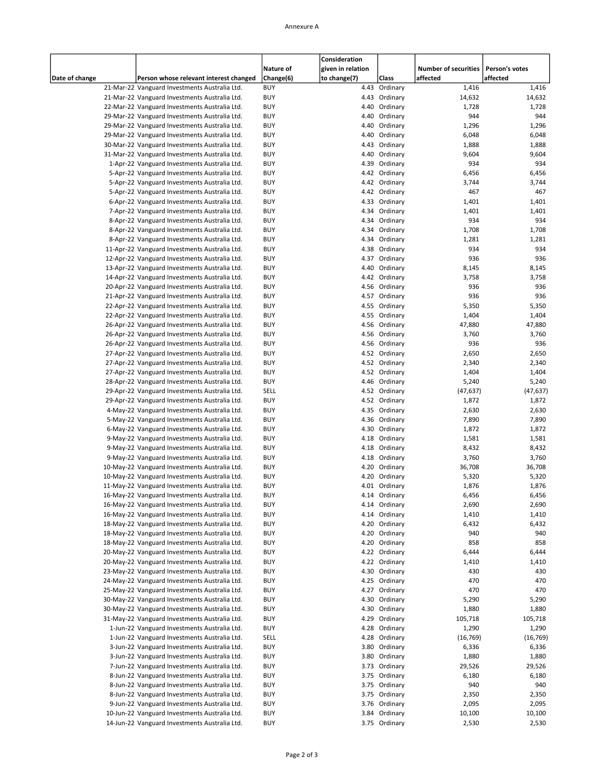#### Annexure A

|                |                                               |            | Consideration     |               |                             |                |
|----------------|-----------------------------------------------|------------|-------------------|---------------|-----------------------------|----------------|
|                |                                               | Nature of  | given in relation |               | <b>Number of securities</b> | Person's votes |
| Date of change | Person whose relevant interest changed        | Change(6)  | to change(7)      | Class         | affected                    | affected       |
|                |                                               | <b>BUY</b> |                   | 4.43 Ordinary |                             |                |
|                | 21-Mar-22 Vanguard Investments Australia Ltd. |            |                   |               | 1,416                       | 1,416          |
|                | 21-Mar-22 Vanguard Investments Australia Ltd. | <b>BUY</b> |                   | 4.43 Ordinary | 14,632                      | 14,632         |
|                | 22-Mar-22 Vanguard Investments Australia Ltd. | <b>BUY</b> |                   | 4.40 Ordinary | 1,728                       | 1,728          |
|                | 29-Mar-22 Vanguard Investments Australia Ltd. | BUY        |                   | 4.40 Ordinary | 944                         | 944            |
|                | 29-Mar-22 Vanguard Investments Australia Ltd. | <b>BUY</b> |                   | 4.40 Ordinary | 1,296                       | 1,296          |
|                | 29-Mar-22 Vanguard Investments Australia Ltd. | <b>BUY</b> |                   | 4.40 Ordinary | 6,048                       | 6,048          |
|                | 30-Mar-22 Vanguard Investments Australia Ltd. | <b>BUY</b> |                   | 4.43 Ordinary | 1,888                       | 1,888          |
|                | 31-Mar-22 Vanguard Investments Australia Ltd. | <b>BUY</b> |                   | 4.40 Ordinary | 9,604                       | 9,604          |
|                | 1-Apr-22 Vanguard Investments Australia Ltd.  | BUY        |                   | 4.39 Ordinary | 934                         | 934            |
|                | 5-Apr-22 Vanguard Investments Australia Ltd.  | <b>BUY</b> |                   | 4.42 Ordinary | 6,456                       | 6,456          |
|                |                                               |            |                   |               |                             |                |
|                | 5-Apr-22 Vanguard Investments Australia Ltd.  | <b>BUY</b> |                   | 4.42 Ordinary | 3,744                       | 3,744          |
|                | 5-Apr-22 Vanguard Investments Australia Ltd.  | <b>BUY</b> |                   | 4.42 Ordinary | 467                         | 467            |
|                | 6-Apr-22 Vanguard Investments Australia Ltd.  | <b>BUY</b> |                   | 4.33 Ordinary | 1,401                       | 1,401          |
|                | 7-Apr-22 Vanguard Investments Australia Ltd.  | BUY        |                   | 4.34 Ordinary | 1,401                       | 1,401          |
|                | 8-Apr-22 Vanguard Investments Australia Ltd.  | <b>BUY</b> |                   | 4.34 Ordinary | 934                         | 934            |
|                | 8-Apr-22 Vanguard Investments Australia Ltd.  | <b>BUY</b> |                   | 4.34 Ordinary | 1,708                       | 1,708          |
|                | 8-Apr-22 Vanguard Investments Australia Ltd.  | <b>BUY</b> |                   | 4.34 Ordinary | 1,281                       | 1,281          |
|                | 11-Apr-22 Vanguard Investments Australia Ltd. | <b>BUY</b> |                   | 4.38 Ordinary | 934                         | 934            |
|                | 12-Apr-22 Vanguard Investments Australia Ltd. | <b>BUY</b> |                   | 4.37 Ordinary | 936                         | 936            |
|                | 13-Apr-22 Vanguard Investments Australia Ltd. | <b>BUY</b> |                   | 4.40 Ordinary | 8,145                       | 8,145          |
|                | 14-Apr-22 Vanguard Investments Australia Ltd. | <b>BUY</b> |                   | 4.42 Ordinary | 3,758                       | 3,758          |
|                | 20-Apr-22 Vanguard Investments Australia Ltd. | <b>BUY</b> |                   | 4.56 Ordinary | 936                         | 936            |
|                | 21-Apr-22 Vanguard Investments Australia Ltd. | <b>BUY</b> |                   | 4.57 Ordinary | 936                         | 936            |
|                |                                               |            |                   |               |                             |                |
|                | 22-Apr-22 Vanguard Investments Australia Ltd. | BUY        |                   | 4.55 Ordinary | 5,350                       | 5,350          |
|                | 22-Apr-22 Vanguard Investments Australia Ltd. | <b>BUY</b> |                   | 4.55 Ordinary | 1,404                       | 1,404          |
|                | 26-Apr-22 Vanguard Investments Australia Ltd. | <b>BUY</b> |                   | 4.56 Ordinary | 47,880                      | 47,880         |
|                | 26-Apr-22 Vanguard Investments Australia Ltd. | <b>BUY</b> |                   | 4.56 Ordinary | 3,760                       | 3,760          |
|                | 26-Apr-22 Vanguard Investments Australia Ltd. | <b>BUY</b> |                   | 4.56 Ordinary | 936                         | 936            |
|                | 27-Apr-22 Vanguard Investments Australia Ltd. | BUY        |                   | 4.52 Ordinary | 2,650                       | 2,650          |
|                | 27-Apr-22 Vanguard Investments Australia Ltd. | <b>BUY</b> |                   | 4.52 Ordinary | 2,340                       | 2,340          |
|                | 27-Apr-22 Vanguard Investments Australia Ltd. | <b>BUY</b> |                   | 4.52 Ordinary | 1,404                       | 1,404          |
|                | 28-Apr-22 Vanguard Investments Australia Ltd. | <b>BUY</b> |                   | 4.46 Ordinary | 5,240                       | 5,240          |
|                | 29-Apr-22 Vanguard Investments Australia Ltd. | SELL       |                   | 4.52 Ordinary | (47, 637)                   | (47, 637)      |
|                | 29-Apr-22 Vanguard Investments Australia Ltd. | <b>BUY</b> |                   | 4.52 Ordinary | 1,872                       | 1,872          |
|                | 4-May-22 Vanguard Investments Australia Ltd.  | <b>BUY</b> |                   | 4.35 Ordinary | 2,630                       | 2,630          |
|                |                                               |            |                   |               |                             |                |
|                | 5-May-22 Vanguard Investments Australia Ltd.  | <b>BUY</b> |                   | 4.36 Ordinary | 7,890                       | 7,890          |
|                | 6-May-22 Vanguard Investments Australia Ltd.  | <b>BUY</b> |                   | 4.30 Ordinary | 1,872                       | 1,872          |
|                | 9-May-22 Vanguard Investments Australia Ltd.  | <b>BUY</b> |                   | 4.18 Ordinary | 1,581                       | 1,581          |
|                | 9-May-22 Vanguard Investments Australia Ltd.  | <b>BUY</b> |                   | 4.18 Ordinary | 8,432                       | 8,432          |
|                | 9-May-22 Vanguard Investments Australia Ltd.  | <b>BUY</b> |                   | 4.18 Ordinary | 3,760                       | 3,760          |
|                | 10-May-22 Vanguard Investments Australia Ltd. | <b>BUY</b> |                   | 4.20 Ordinary | 36,708                      | 36,708         |
|                | 10-May-22 Vanguard Investments Australia Ltd. | <b>BUY</b> |                   | 4.20 Ordinary | 5,320                       | 5,320          |
|                | 11-May-22 Vanguard Investments Australia Ltd. | <b>BUY</b> |                   | 4.01 Ordinary | 1,876                       | 1,876          |
|                | 16-May-22 Vanguard Investments Australia Ltd. | <b>BUY</b> |                   | 4.14 Ordinary | 6,456                       | 6,456          |
|                | 16-May-22 Vanguard Investments Australia Ltd. | <b>BUY</b> |                   | 4.14 Ordinary | 2,690                       | 2,690          |
|                | 16-May-22 Vanguard Investments Australia Ltd. | <b>BUY</b> |                   | 4.14 Ordinary | 1,410                       | 1,410          |
|                | 18-May-22 Vanguard Investments Australia Ltd. | BUY        |                   | 4.20 Ordinary | 6,432                       | 6,432          |
|                |                                               |            |                   |               | 940                         |                |
|                | 18-May-22 Vanguard Investments Australia Ltd. | BUY        |                   | 4.20 Ordinary |                             | 940            |
|                | 18-May-22 Vanguard Investments Australia Ltd. | BUY        |                   | 4.20 Ordinary | 858                         | 858            |
|                | 20-May-22 Vanguard Investments Australia Ltd. | BUY        |                   | 4.22 Ordinary | 6,444                       | 6,444          |
|                | 20-May-22 Vanguard Investments Australia Ltd. | <b>BUY</b> |                   | 4.22 Ordinary | 1,410                       | 1,410          |
|                | 23-May-22 Vanguard Investments Australia Ltd. | BUY        |                   | 4.30 Ordinary | 430                         | 430            |
|                | 24-May-22 Vanguard Investments Australia Ltd. | BUY        |                   | 4.25 Ordinary | 470                         | 470            |
|                | 25-May-22 Vanguard Investments Australia Ltd. | BUY        |                   | 4.27 Ordinary | 470                         | 470            |
|                | 30-May-22 Vanguard Investments Australia Ltd. | BUY        |                   | 4.30 Ordinary | 5,290                       | 5,290          |
|                | 30-May-22 Vanguard Investments Australia Ltd. | <b>BUY</b> |                   | 4.30 Ordinary | 1,880                       | 1,880          |
|                | 31-May-22 Vanguard Investments Australia Ltd. | BUY        |                   | 4.29 Ordinary | 105,718                     | 105,718        |
|                | 1-Jun-22 Vanguard Investments Australia Ltd.  | BUY        |                   | 4.28 Ordinary | 1,290                       | 1,290          |
|                | 1-Jun-22 Vanguard Investments Australia Ltd.  | SELL       |                   | 4.28 Ordinary | (16, 769)                   | (16, 769)      |
|                | 3-Jun-22 Vanguard Investments Australia Ltd.  | BUY        |                   | 3.80 Ordinary | 6,336                       | 6,336          |
|                |                                               |            |                   |               |                             |                |
|                | 3-Jun-22 Vanguard Investments Australia Ltd.  | <b>BUY</b> |                   | 3.80 Ordinary | 1,880                       | 1,880          |
|                | 7-Jun-22 Vanguard Investments Australia Ltd.  | BUY        |                   | 3.73 Ordinary | 29,526                      | 29,526         |
|                | 8-Jun-22 Vanguard Investments Australia Ltd.  | BUY        |                   | 3.75 Ordinary | 6,180                       | 6,180          |
|                | 8-Jun-22 Vanguard Investments Australia Ltd.  | BUY        |                   | 3.75 Ordinary | 940                         | 940            |
|                | 8-Jun-22 Vanguard Investments Australia Ltd.  | BUY        |                   | 3.75 Ordinary | 2,350                       | 2,350          |
|                | 9-Jun-22 Vanguard Investments Australia Ltd.  | <b>BUY</b> |                   | 3.76 Ordinary | 2,095                       | 2,095          |
|                | 10-Jun-22 Vanguard Investments Australia Ltd. | BUY        |                   | 3.84 Ordinary | 10,100                      | 10,100         |
|                | 14-Jun-22 Vanguard Investments Australia Ltd. | <b>BUY</b> |                   | 3.75 Ordinary | 2,530                       | 2,530          |